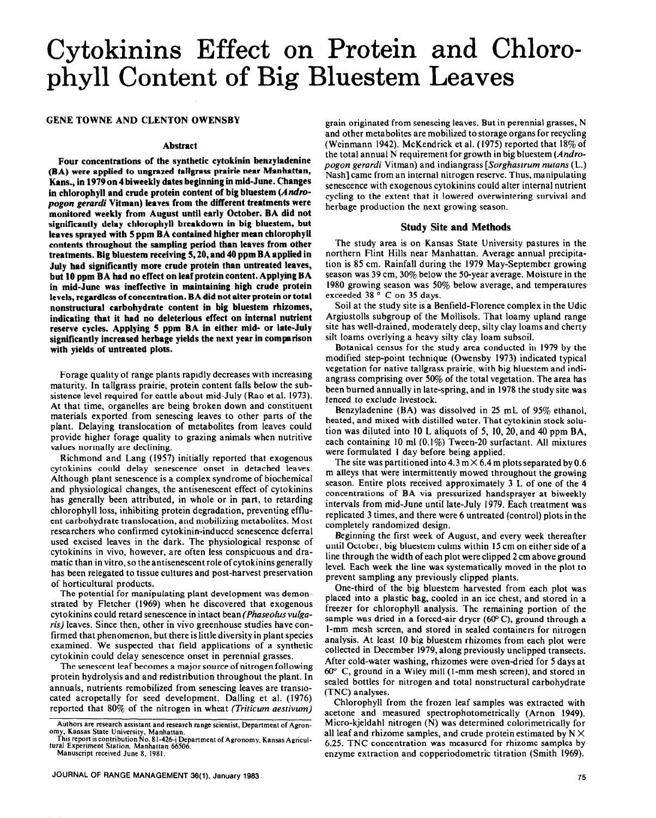# Cytokinins Effect on Protein and Chlorophyll Content of Big Bluestem Leaves

## **GENE TOWNE AND CLENTON OWENSBY**

# **Abstract**

**Four concentrations of the synthetic cytokinin benzyladenine (BA) were applied to ungrazed tallgrass prairie near Manhattan, Kans., in 1979 on 4 biweekly dates beginning in mid-June. Changes in chlorophyll and crude protein content of big bluestem (Andre***pogon gerardi* **Vitman) leaves from the different treatments were monitored weekly from August until early October. BA did not significantly delay chlorophyll breakdown in big bluestem, but leaves sprayed with 5 ppm BA contained higher mean chlorophyll contents throughout the sampling period than leaves from other treatments. Big bluestem receiving 5,20, and 40 ppm BA applied in July had significantly more crude protein than untreated leaves, but 10 ppm BA had no effect on leaf protein content. Applying BA in mid-June was ineffective in maintaining. high crude protein levels, regardless of concentration. BA did not alter protein or total nonstructural carbohydrate content** in **big bluestem rhizomes, indicating that it had no deleterious effect on internal nutrient reserve cycles. Applying 5 ppm BA in either mid- or late-July significantly increased herbage yields the next year in comparison with yields of untreated plots.** 

Forage quality of range plants rapidly decreases with increasing maturity. In tallgrass prairie, protein content falls below the subsistence level required for cattle about mid-July (Rao et al. 1973). At that time, organelles are being broken down and constituent materials exported from senescing leaves to other parts of the plant. Delaying translocation of metabolites from leaves could provide higher forage quality to grazing animals when nutritive values normally are declining.

Richmond and Lang (1957) initially reported that exogenous cytokinins could delay senescence onset in detached leaves. Although plant senescence is a complex syndrome of biochemical and physiological changes, the antisenescent effect of cytokinins has generally been attributed, in whole or in part, to retarding chlorophyll loss, inhibiting protein degradation, preventing effluent carbohydrate translocation, and mobilizing metabolites. Most researchers who confirmed cytokinin-induced senescence deferral used excised leaves in the dark. The physiological response of cytokinins in vivo, however, are often less conspicuous and dramatic than in vitro, so the antisenescent role of cytokinins generally has been relegated to tissue cultures and post-harvest preservation of horticultural products.

The potential for manipulating plant development was demonstrated by Fletcher (1969) when he discovered that exogenous cytokinins could retard senescence in intact bean *(Phaseofus vulguris)* leaves. Since then, other in vivo greenhouse studies have confirmed that phenomenon, but there is little diversity in plant species examined. We suspected that field applications of a synthetic cytokinin could delay senescence onset in perennial grasses.

The senescent leaf becomes a major source of nitrogen following protein hydrolysis and and redistribution throughout the plant. In annuals, nutrients remobilized from senescing leaves are transrocated acropetally for seed development. Dalling et al. (1976) reported that 80% of the nitrogen in wheat *(Triticum aestivum)* 

grain originated from senescing leaves. But in perennial grasses, N and other metabolites are mobilized to storage organs for recycling (Weinmann 1942). McKendrick et al. (1975) reported that 18% of the total annual N requirement for growth in big bluestem (Andropogon gerardi Vitman) and indiangrass *[Sorghastrum nutans* (L.) Nash] came from an internal nitrogen reserve. Thus, manipulating senescence with exogenous cytokinins could alter internal nutrient cycling to the extent that it lowered overwintering survival and herbage production the next growing season.

# **Study Site and Methods**

**The study area is** on Kansas State University pastures in the northern Flint Hills near Manhattan. Average annual precipitation is 85 cm. Rainfall during the 1979 May-September growing season was 39 cm, 30% below the 50-year average. Moisture in the 1980 growing season was 50% below average, and temperatures exceeded 38° C on 35 days.

Soil at the study site is a Benfield-Florence complex in the Udic Argiustolls subgroup of the Mollisols. That loamy upland range site has well-drained, moderately deep, silty clay loams and cherty silt loams overlying a heavy silty clay loam subsoil.

Botanical census for the study area conducted in 1979 by the modified step-point technique (Owensby 1973) indicated typical vegetation for native tallgrass prairie, with big bluestem and indiangrass comprising over 50% of the total vegetation. The area has been burned annually in late-spring, and in 1978 the study site was fenced to exclude livestock.

Benzyladenine (BA) was dissolved in 25 mL of 95% ethanol, heated, and mixed with distilled water. That cytokinin stock solution was diluted into 10 L aliquots of 5, IO, 20, and 40 ppm BA, each containing 10 ml (0.1%) Tween-20 surfactant. All mixtures were formulated I **day** before being applied.

The site was partitioned into  $4.3 \text{ m} \times 6.4 \text{ m}$  plots separated by 0.6 m alleys that were intermittently mowed throughout the growing season. Entire plots received approximately 3 L of one of the 4 concentrations of BA via pressurized handsprayer at biweekly intervals from mid-June until late-July 1979. Each treatment was replicated 3 times, and there were 6 untreated (control) plots in the completely randomized design.

Beginning the first week of August, and every week thereafter until October, big bluestem culms within 15 cm on either side of a line through the width of each plot were clipped 2 cm above ground level. Each week the line was systematically moved in the plot to prevent sampling any previously clipped plants.

One-third of the big bluestem harvested from each plot was placed into a plastic bag, cooled in an ice chest, and stored in a freezer for chlorophyll analysis. The remaining portion of the sample was dried in a forced-air dryer  $(60^{\circ} \text{C})$ , ground through a l-mm mesh screen, and stored in sealed containers for nitrogen analysis. At least 10 big bluestem rhizomes from each plot were collected in December 1979, along previously unclipped transects. After cold-water washing, rhizomes were oven-dried for 5 days at  $60^{\circ}$  C, ground in a Wiley mill (1-mm mesh screen), and stored in sealed bottles for nitrogen and total nonstructural carbohydrate (TNC) analyses.

Chlorophyll from the frozen leaf samples was extracted with acetone and measured spectrophotometrically (Arnon 1949). Micro-kjeldahl nitrogen (N) was determined calorimetrically for all leaf and rhizome samples, and crude protein estimated by  $N \times$ 6.25. TNC concentration was measured for rhizome samples by enzyme extraction and copperiodometric titration (Smith 1969).

**Authors are research assistant and research range scientist, Department of Agronomy, Kansas State University, Manhattan.** 

**This report iscontribution No. 81-426-j Department of Agronomy, Kansas Agricul-tural Experiment Station, Manhattan 66506.** 

**Manuscript received June 8, 1981.**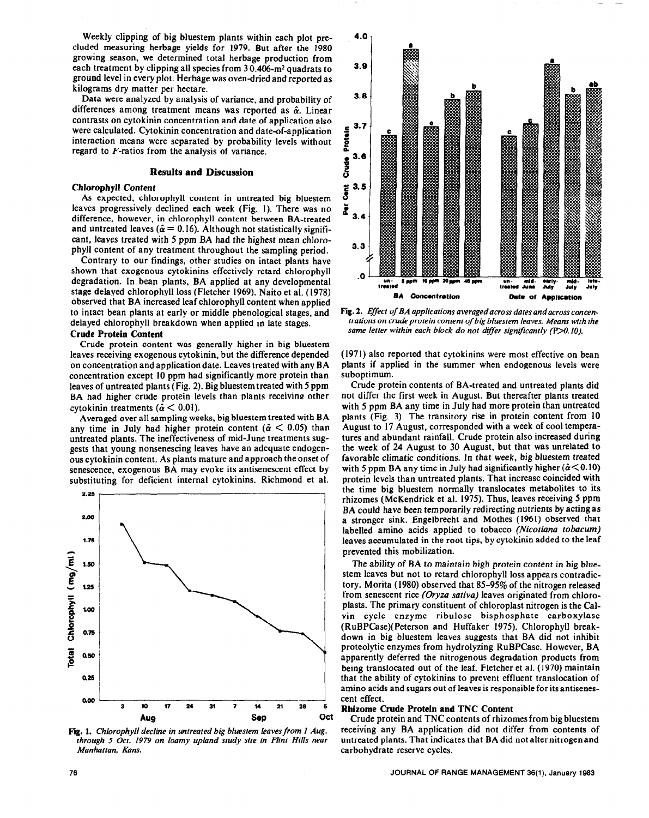Weekly clipping of big bluestem plants within each plot precluded measuring herbage yields for 1979. But after the 1980 growing season, we determined total herbage production from each treatment by clipping all species from 30.406-m<sup>2</sup> quadrats to ground level in every plot. Herbage was oven-dried and reported as kilograms dry matter per hectare.

Data were analyzed by analysis of variance, and probability of differences among treatment means was reported as  $\hat{\alpha}$ . Linear contrasts on cytokinin concentration and date of application also were calculated. Cytokinin concentration and date-of-application interaction means were separated by probability levels without regard to F-ratios from the analysis of variance.

### **Results and Discussion**

#### **Chlorophyll Content**

As expected, chlorophyll content in untreated big bluestem leaves progressively declined each week (Fig. 1). There was no difference, however, in chlorophyll content between BA-treated and untreated leaves ( $\hat{\alpha} = 0.16$ ). Although not statistically significant, leaves treated with 5 ppm BA had the highest mean chlorophyll content of any treatment throughout the sampling period.

Contrary to our findings, other studies on intact plants have shown that exogenous cytokinins effectively retard chlorophyll degradation. In bean plants, BA applied at any developmental stage delayed chlorophyll loss (Fletcher 1969). Naito et al. (1978) observed that BA increased leaf chlorophyll content when applied to intact bean plants at early or middle phenological stages, and delayed chlorophyll breakdown when applied in late stages.

#### **Crude Protein Content**

Crude protein content was generally higher in big bluestem leaves receiving exogenous cytokinin, but the difference depended on concentration and application date. Leaves treated with any BA concentration except IO ppm had significantly more protein than leaves of untreated plants (Fig. 2). Big bluestem treated with 5 ppm BA had higher crude protein levels than plants receiving other cytokinin treatments ( $\alpha$  < 0.01).

Averaged over all sampling weeks, big bluestem treated with BA any time in July had higher protein content ( $\hat{\alpha}$  < 0.05) than untreated plants. The ineffectiveness of mid-June treatments suggests that young nonsenescing leaves have an adequate endogenous cytokinin content. As plants mature and approach the onset of senescence, exogenous BA may evoke its antisenescent effect by substituting for deficient internal cytokinins. Richmond et al.



**Fig. 1.** *Chlorophyll decline in untreated big bluestem leaves from I Aug. through 5 Oct. 1979 on loamy upland study site in Flint Hills near Manhattan, Kans.* 



**Fig. 2.** *Effect of BA applications averaged across dates and across concentrations on crude protein content of big bluestem leaves. Means with the same letter within each block do not dijfer significantly (DO. 10).* 

(1971) also reported that cytokinins were most effective on bean plants if applied in the summer when endogenous levels were suboptimum.

Crude protein contents of BA-treated and untreated plants did not differ the first week in August. But thereafter plants treated with 5 ppm BA any time in July had more protein than untreated plants (Fig. 3). The transitory rise in protein content from 10 August to 17 August, corresponded with a week of cool temperatures and abundant rainfall. Crude protein also increased during the week of 24 August to 30 August, but that was unrelated to favorable climatic conditions. In that week, big bluestem treated with 5 ppm BA any time in July had significantly higher  $(\alpha < 0.10)$ protein levels than untreated plants. That increase coincided with the **time** big bluestem normally translocates metabolites to its rhizomes (McKendrick et al. 1975). Thus, leaves receiving 5 ppm BA could have been temporarily redirecting nutrients by acting as a stronger sink. Engelbrecht and Mothes (1961) observed that labelled amino acids applied to tobacco *(Nicotiana tobacum) leaves* accumulated in the root tips, by cytokinin added to the leaf prevented this mobilization.

The ability of BA to maintain high protein content in big bluestem leaves but not to retard chlorophyll loss appears contradictory. Morita (1980) observed that 85-95% of the nitrogen released from senescent rice *(Oryza sativa)* leaves originated from chloroplasts. The primary constituent of chloroplast nitrogen is the Calvin cycle enzyme ribulose bisphosphate carboxylase (RuBPCase)(Peterson and Huffaker 1975). Chlorophyll breakdown in big bluestem leaves suggests that BA did not inhibit proteolytic enzymes from hydrolyzing RuBPCase. However, BA apparently deferred the nitrogenous degradation products from being translocated out of the leaf. Fletcher et al. (1970) maintain that the ability of cytokinins to prevent effluent translocation of amino acids and sugars out of leaves is responsible for its antisenescent effect.

#### **Rhizome Crude Protein and TNC Content**

Crude protein and TNC contents of rhizomes from big bluestem receiving any BA application did not differ from contents of untreated plants. That indicates that BA did not alter nitrogen and carbohydrate reserve cycles.